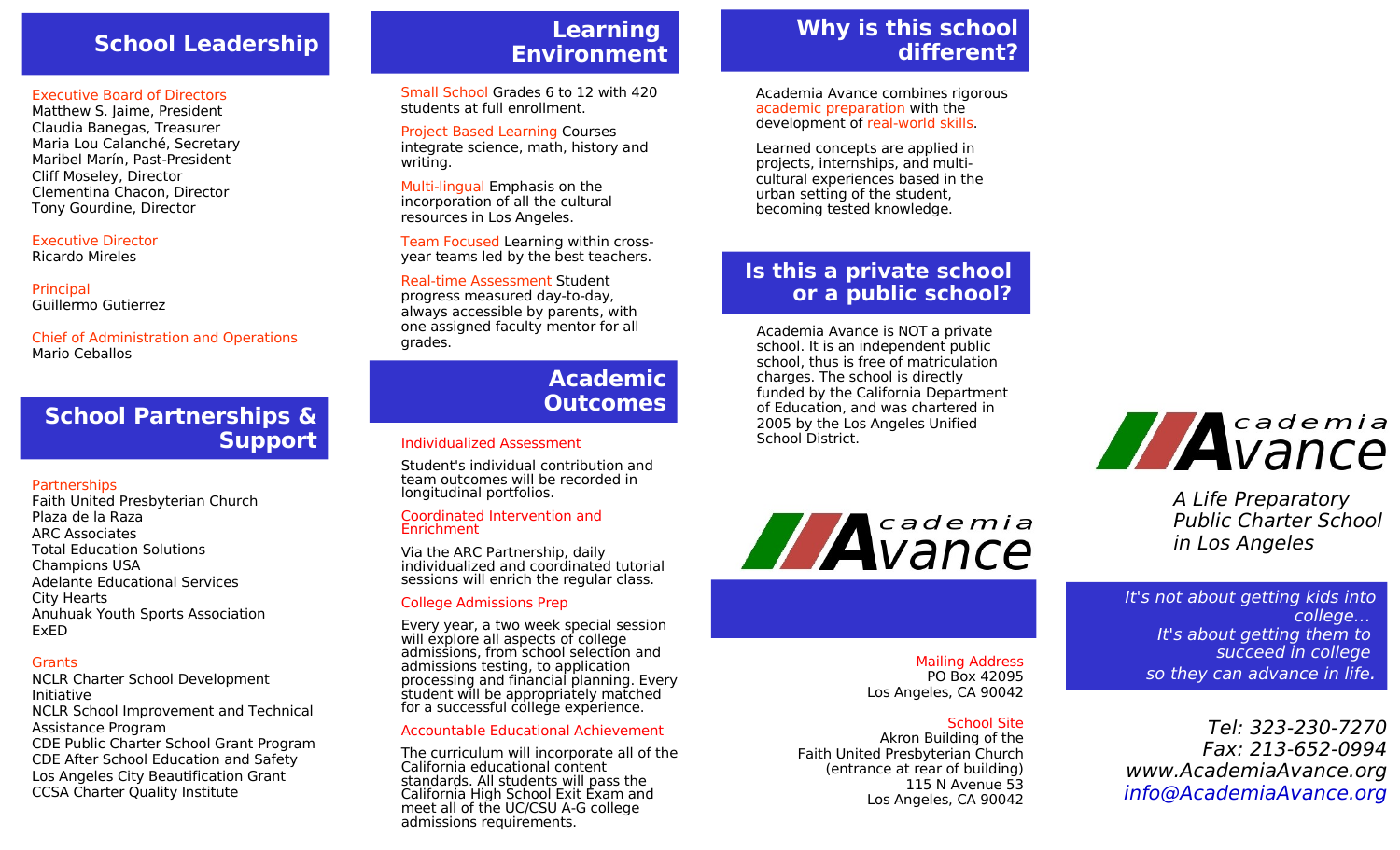# **School Leadership**

#### Executive Board of Directors

Matthew S. Jaime, President Claudia Banegas, Treasurer Maria Lou Calanché, Secretary Maribel Marín, Past-President Cliff Moseley, Director Clementina Chacon, Director Tony Gourdine, Director

#### Executive Director

Ricardo Mireles

**Principal** Guillermo Gutierrez

#### Chief of Administration and Operations Mario Ceballos

# **School Partnerships & Support**

### **Partnerships**

Faith United Presbyterian Church Plaza de la Raza ARC Associates Total Education Solutions Champions USA Adelante Educational Services City Hearts Anuhuak Youth Sports Association ExED

### **Grants**

NCLR Charter School Development Initiative NCLR School Improvement and Technical Assistance Program CDE Public Charter School Grant Program CDE After School Education and Safety Los Angeles City Beautification Grant CCSA Charter Quality Institute

# **Learning Environment**

Small School Grades 6 to 12 with 420 students at full enrollment.

Project Based Learning Courses integrate science, math, history and writing.

Multi-lingual Emphasis on the incorporation of all the cultural resources in Los Angeles.

Team Focused Learning within crossyear teams led by the best teachers.

### Real-time Assessment Student

progress measured day-to-day, always accessible by parents, with one assigned faculty mentor for all grades.

## **Academic Outcomes**

### Individualized Assessment

Student's individual contribution and team outcomes will be recorded in longitudinal portfolios.

#### Coordinated Intervention and **Enrichment**

Via the ARC Partnership, daily individualized and coordinated tutorial sessions will enrich the regular class.

### College Admissions Prep

Every year, a two week special session will explore all aspects of college admissions, from school selection and admissions testing, to application processing and financial planning. Every student will be appropriately matched for a successful college experience.

#### Accountable Educational Achievement

The curriculum will incorporate all of the California educational content standards. All students will pass the California High School Exit Exam and meet all of the UC/CSU A-G college admissions requirements.

# **Why is this school different?**

Academia Avance combines rigorous academic preparation with the development of real-world skills.

Learned concepts are applied in projects, internships, and multicultural experiences based in the urban setting of the student, becoming tested knowledge.

# **Is this a private school or a public school?**

Academia Avance is NOT a private school. It is an independent public school, thus is free of matriculation charges. The school is directly funded by the California Department of Education, and was chartered in 2005 by the Los Angeles Unified School District.



#### Mailing Address PO Box 42095 Los Angeles, CA 90042

## School Site

Akron Building of the Faith United Presbyterian Church (entrance at rear of building) 115 N Avenue 53 Los Angeles, CA 90042



A Life Preparatory Public Charter School in Los Angeles

It's not about getting kids into college… It's about getting them to succeed in college so they can advance in life.

Tel: 323-230-7270 Fax: 213-652-0994 www.AcademiaAvance.org [info@AcademiaAvance.org](mailto:info@AcademiaAvance.org)